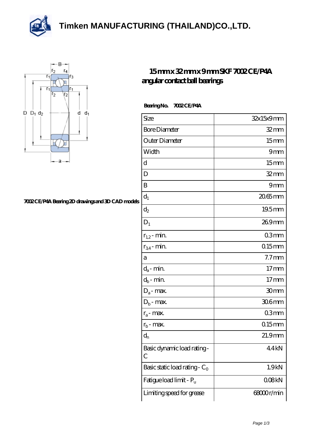**[Timken MANUFACTURING \(THAILAND\)CO.,LTD.](https://m.thereclaimer.net)**





## **[7002 CE/P4A Bearing 2D drawings and 3D CAD models](https://m.thereclaimer.net/pic-65136376.html)**

## **[15 mm x 32 mm x 9 mm SKF 7002 CE/P4A](https://m.thereclaimer.net/skf-7002-ce-p4a-bearing/) [angular contact ball bearings](https://m.thereclaimer.net/skf-7002-ce-p4a-bearing/)**

## **Bearing No. 7002 CE/P4A**

| Size                             | 32x15x9mm            |
|----------------------------------|----------------------|
| <b>Bore Diameter</b>             | $32$ mm              |
| Outer Diameter                   | 15 <sub>mm</sub>     |
| Width                            | 9mm                  |
| d                                | 15 <sub>mm</sub>     |
| D                                | $32$ mm              |
| B                                | 9mm                  |
| $d_1$                            | 20.65mm              |
| $\mathrm{d}_2$                   | 19.5mm               |
| $D_1$                            | 269mm                |
| $r_{1,2}$ - min.                 | 03mm                 |
| $r_{34}$ - min.                  | $015$ mm             |
| a                                | 7.7 <sub>mm</sub>    |
| $d_a$ - min.                     | 17 <sub>mm</sub>     |
| $d_b$ - min.                     | 17 <sub>mm</sub>     |
| $D_a$ - max.                     | 30mm                 |
| $D_b$ - max.                     | 306mm                |
| $r_a$ - max.                     | 03mm                 |
| $r_{b}$ - max.                   | $015$ mm             |
| $d_{n}$                          | $21.9$ <sub>mm</sub> |
| Basic dynamic load rating-<br>С  | 44kN                 |
| Basic static load rating - $C_0$ | 1.9kN                |
| Fatigue load limit - Pu          | 008kN                |
| Limiting speed for grease        | 68000r/min           |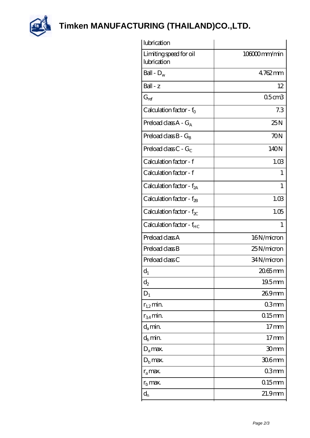

**[Timken MANUFACTURING \(THAILAND\)CO.,LTD.](https://m.thereclaimer.net)**

| lubrication                           |                   |
|---------------------------------------|-------------------|
| Limiting speed for oil<br>lubrication | 106000mm/min      |
| Ball - $D_w$                          | $4762$ mm         |
| $Ball - z$                            | 12                |
| $G_{ref}$                             | 05 <sub>cm3</sub> |
| Calculation factor - $f_0$            | 7.3               |
| Preload class $A - G_A$               | 25N               |
| Preload class $B - G_B$               | 70N               |
| Preload class $C - G_C$               | 140N              |
| Calculation factor - f                | 1.03              |
| Calculation factor - f                | 1                 |
| Calculation factor - $f_{2A}$         | 1                 |
| Calculation factor - $f_{2B}$         | 1.03              |
| Calculation factor - $f_{\chi}$       | 1.05              |
| Calculation factor - f <sub>HC</sub>  | 1                 |
| Preload class A                       | 16N/micron        |
| Preload class B                       | 25N/micron        |
| Preload class C                       | 34N/micron        |
| $d_1$                                 | 20.65mm           |
| $\mathrm{d}_2$                        | $19.5$ mm         |
| $D_1$                                 | 269mm             |
| $r_{1,2}$ min.                        | 03mm              |
| $r_{34}$ min.                         | $0.15$ mm         |
| $d_a$ min.                            | 17 <sub>mm</sub>  |
| $d_b$ min.                            | 17 <sub>mm</sub>  |
| $D_a$ max.                            | 30mm              |
| $D_{\rm b}$ max.                      | $306$ mm          |
| $r_a$ max.                            | 03 <sub>mm</sub>  |
| $r_{\rm b}$ max.                      | $015$ mm          |
| $d_{n}$                               | 21.9mm            |